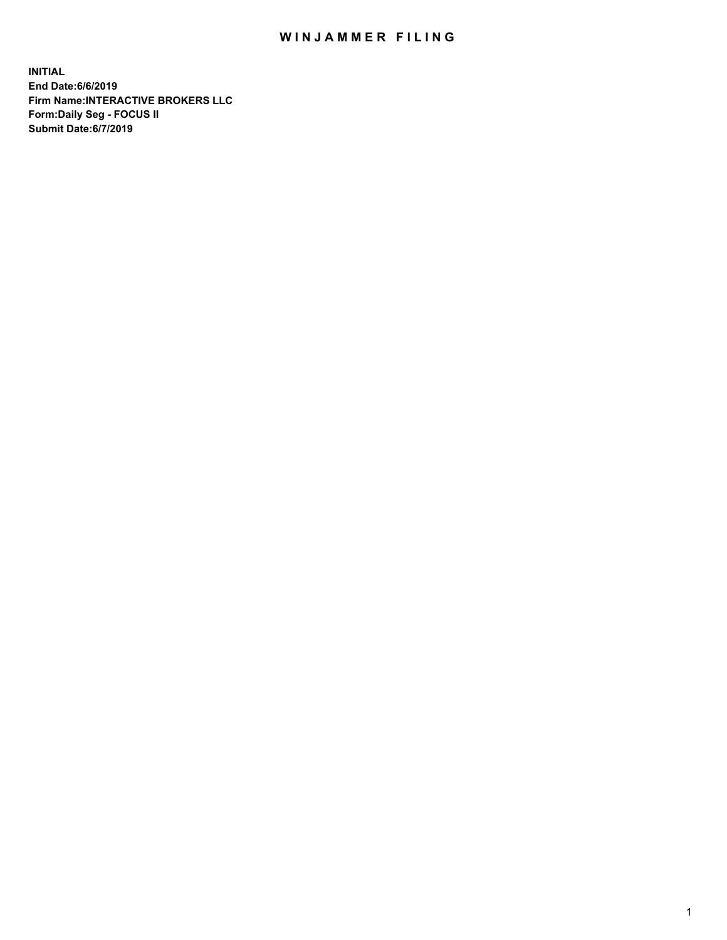## WIN JAMMER FILING

**INITIAL End Date:6/6/2019 Firm Name:INTERACTIVE BROKERS LLC Form:Daily Seg - FOCUS II Submit Date:6/7/2019**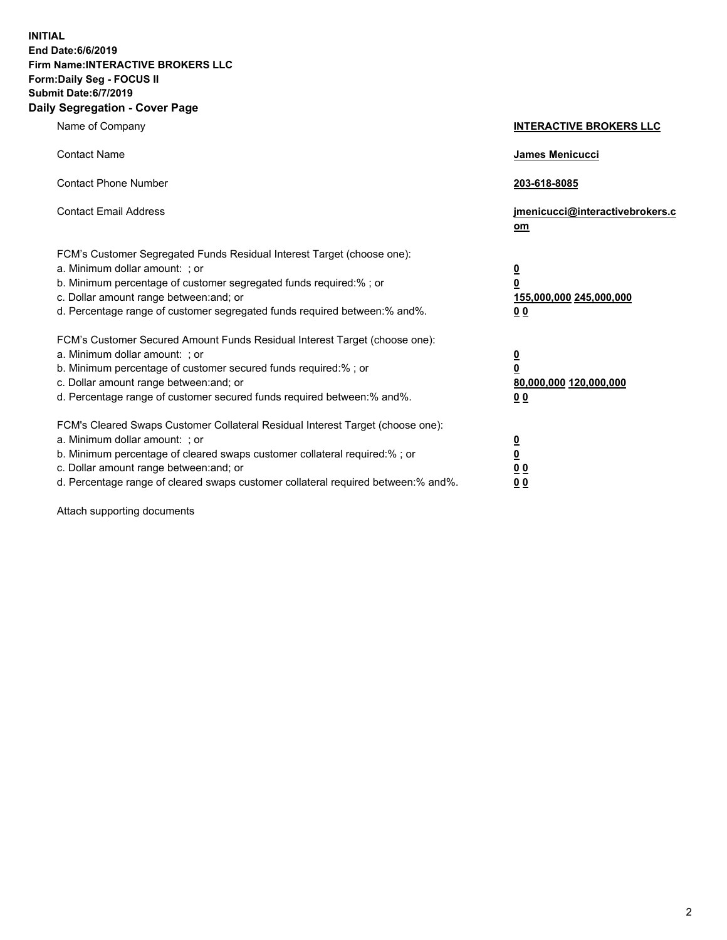**INITIAL End Date:6/6/2019 Firm Name:INTERACTIVE BROKERS LLC Form:Daily Seg - FOCUS II Submit Date:6/7/2019 Daily Segregation - Cover Page**

| Name of Company                                                                                                                                                                                                                                                                                                                | <b>INTERACTIVE BROKERS LLC</b>                                                                  |
|--------------------------------------------------------------------------------------------------------------------------------------------------------------------------------------------------------------------------------------------------------------------------------------------------------------------------------|-------------------------------------------------------------------------------------------------|
| <b>Contact Name</b>                                                                                                                                                                                                                                                                                                            | James Menicucci                                                                                 |
| <b>Contact Phone Number</b>                                                                                                                                                                                                                                                                                                    | 203-618-8085                                                                                    |
| <b>Contact Email Address</b>                                                                                                                                                                                                                                                                                                   | jmenicucci@interactivebrokers.c<br>om                                                           |
| FCM's Customer Segregated Funds Residual Interest Target (choose one):<br>a. Minimum dollar amount: : or<br>b. Minimum percentage of customer segregated funds required:% ; or<br>c. Dollar amount range between: and; or<br>d. Percentage range of customer segregated funds required between:% and%.                         | $\overline{\mathbf{0}}$<br>$\overline{\mathbf{0}}$<br>155,000,000 245,000,000<br>0 <sub>0</sub> |
| FCM's Customer Secured Amount Funds Residual Interest Target (choose one):<br>a. Minimum dollar amount: ; or<br>b. Minimum percentage of customer secured funds required:% ; or<br>c. Dollar amount range between: and; or<br>d. Percentage range of customer secured funds required between:% and%.                           | $\frac{0}{0}$<br>80,000,000 120,000,000<br>00                                                   |
| FCM's Cleared Swaps Customer Collateral Residual Interest Target (choose one):<br>a. Minimum dollar amount: ; or<br>b. Minimum percentage of cleared swaps customer collateral required:% ; or<br>c. Dollar amount range between: and; or<br>d. Percentage range of cleared swaps customer collateral required between:% and%. | $\overline{\mathbf{0}}$<br>$\underline{\mathbf{0}}$<br>0 <sub>0</sub><br>0 <sub>0</sub>         |

Attach supporting documents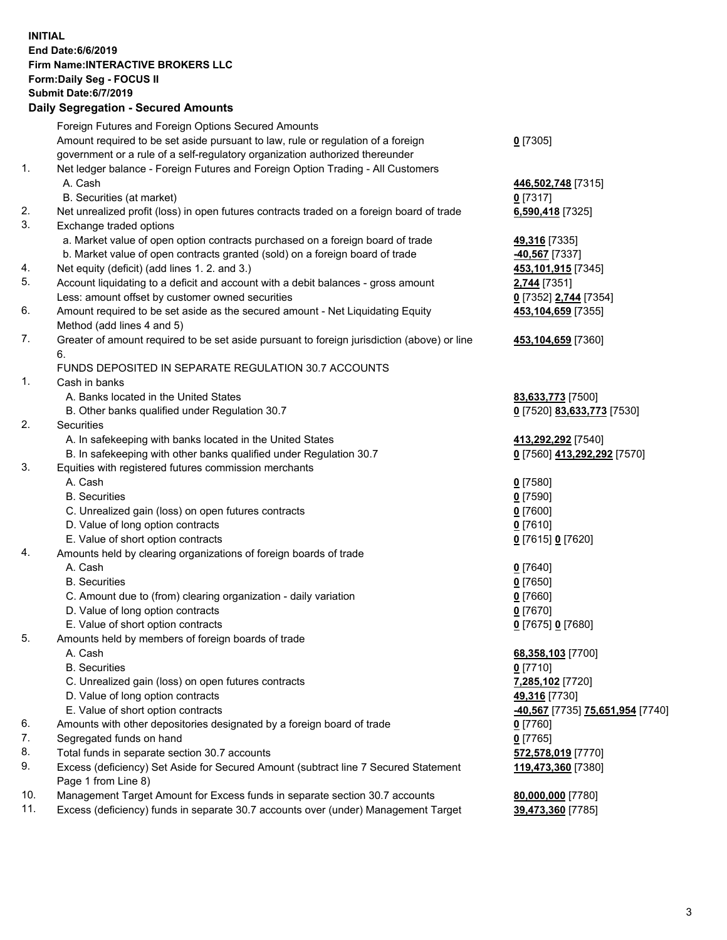## **INITIAL End Date:6/6/2019 Firm Name:INTERACTIVE BROKERS LLC Form:Daily Seg - FOCUS II Submit Date:6/7/2019 Daily Segregation - Secured Amounts**

|     | Foreign Futures and Foreign Options Secured Amounts                                         |                                                            |
|-----|---------------------------------------------------------------------------------------------|------------------------------------------------------------|
|     | Amount required to be set aside pursuant to law, rule or regulation of a foreign            | $0$ [7305]                                                 |
|     | government or a rule of a self-regulatory organization authorized thereunder                |                                                            |
| 1.  | Net ledger balance - Foreign Futures and Foreign Option Trading - All Customers             |                                                            |
|     | A. Cash                                                                                     | 446,502,748 [7315]                                         |
|     | B. Securities (at market)                                                                   | $0$ [7317]                                                 |
| 2.  | Net unrealized profit (loss) in open futures contracts traded on a foreign board of trade   | 6,590,418 [7325]                                           |
| 3.  | Exchange traded options                                                                     |                                                            |
|     | a. Market value of open option contracts purchased on a foreign board of trade              | 49,316 [7335]                                              |
|     | b. Market value of open contracts granted (sold) on a foreign board of trade                | 40,567 [7337]                                              |
| 4.  | Net equity (deficit) (add lines 1.2. and 3.)                                                | 453,101,915 [7345]                                         |
| 5.  | Account liquidating to a deficit and account with a debit balances - gross amount           | 2,744 [7351]                                               |
|     | Less: amount offset by customer owned securities                                            | 0 [7352] 2,744 [7354]                                      |
| 6.  | Amount required to be set aside as the secured amount - Net Liquidating Equity              | 453,104,659 [7355]                                         |
|     | Method (add lines 4 and 5)                                                                  |                                                            |
| 7.  | Greater of amount required to be set aside pursuant to foreign jurisdiction (above) or line | 453,104,659 [7360]                                         |
|     | 6.                                                                                          |                                                            |
|     | FUNDS DEPOSITED IN SEPARATE REGULATION 30.7 ACCOUNTS                                        |                                                            |
| 1.  | Cash in banks                                                                               |                                                            |
|     | A. Banks located in the United States                                                       | 83,633,773 [7500]                                          |
|     | B. Other banks qualified under Regulation 30.7                                              | 0 [7520] 83,633,773 [7530]                                 |
| 2.  | Securities                                                                                  |                                                            |
|     | A. In safekeeping with banks located in the United States                                   | 413,292,292 [7540]                                         |
|     | B. In safekeeping with other banks qualified under Regulation 30.7                          | 0 [7560] 413,292,292 [7570]                                |
| 3.  | Equities with registered futures commission merchants                                       |                                                            |
|     | A. Cash                                                                                     | $0$ [7580]                                                 |
|     | <b>B.</b> Securities                                                                        | $0$ [7590]                                                 |
|     | C. Unrealized gain (loss) on open futures contracts                                         | $0$ [7600]                                                 |
|     | D. Value of long option contracts                                                           | $0$ [7610]                                                 |
|     | E. Value of short option contracts                                                          | 0 [7615] 0 [7620]                                          |
| 4.  | Amounts held by clearing organizations of foreign boards of trade                           |                                                            |
|     | A. Cash                                                                                     | $0$ [7640]                                                 |
|     | <b>B.</b> Securities                                                                        | $0$ [7650]                                                 |
|     | C. Amount due to (from) clearing organization - daily variation                             | $0$ [7660]                                                 |
|     | D. Value of long option contracts                                                           | $0$ [7670]                                                 |
|     | E. Value of short option contracts                                                          | 0 [7675] 0 [7680]                                          |
| 5.  | Amounts held by members of foreign boards of trade                                          |                                                            |
|     | A. Cash                                                                                     | 68,358,103 [7700]                                          |
|     | <b>B.</b> Securities                                                                        | $0$ [7710]                                                 |
|     | C. Unrealized gain (loss) on open futures contracts                                         | 7,285,102 [7720]                                           |
|     | D. Value of long option contracts                                                           | 49,316 [7730]                                              |
|     | E. Value of short option contracts                                                          | <mark>-40,567</mark> [7735] <mark>75,651,954</mark> [7740] |
| 6.  | Amounts with other depositories designated by a foreign board of trade                      | $0$ [7760]                                                 |
| 7.  | Segregated funds on hand                                                                    | $0$ [7765]                                                 |
| 8.  | Total funds in separate section 30.7 accounts                                               | 572,578,019 [7770]                                         |
| 9.  | Excess (deficiency) Set Aside for Secured Amount (subtract line 7 Secured Statement         | 119,473,360 [7380]                                         |
|     | Page 1 from Line 8)                                                                         |                                                            |
| 10. | Management Target Amount for Excess funds in separate section 30.7 accounts                 | 80,000,000 [7780]                                          |
| 11. | Excess (deficiency) funds in separate 30.7 accounts over (under) Management Target          | 39,473,360 [7785]                                          |
|     |                                                                                             |                                                            |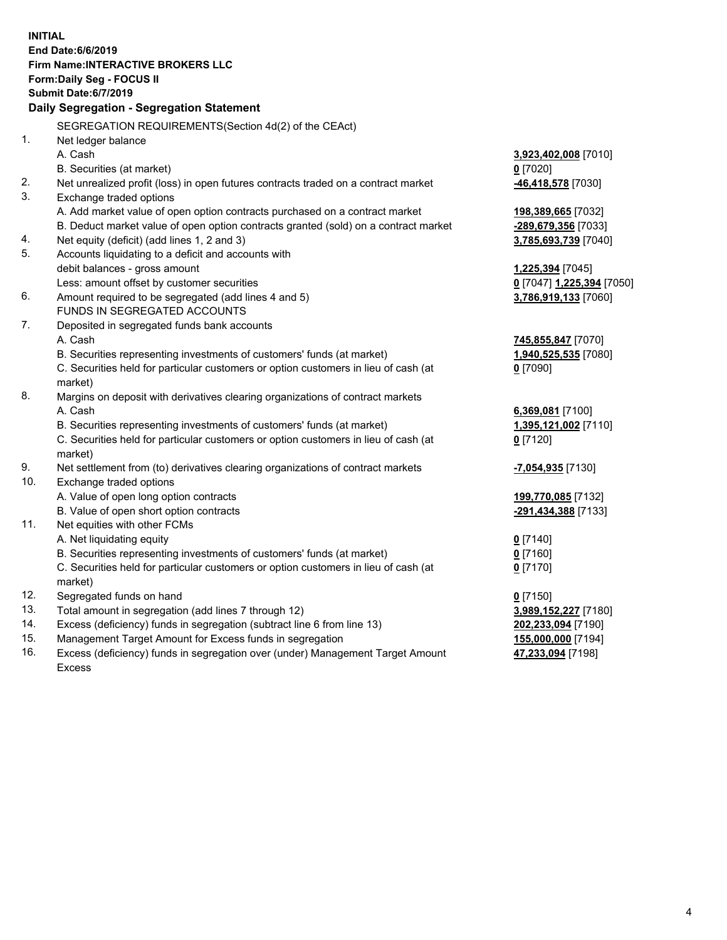| <b>INITIAL</b> |                                                                                     |                           |
|----------------|-------------------------------------------------------------------------------------|---------------------------|
|                | End Date: 6/6/2019                                                                  |                           |
|                | <b>Firm Name:INTERACTIVE BROKERS LLC</b>                                            |                           |
|                | Form: Daily Seg - FOCUS II                                                          |                           |
|                | <b>Submit Date:6/7/2019</b>                                                         |                           |
|                | Daily Segregation - Segregation Statement                                           |                           |
|                | SEGREGATION REQUIREMENTS(Section 4d(2) of the CEAct)                                |                           |
| 1.             | Net ledger balance                                                                  |                           |
|                | A. Cash                                                                             | 3,923,402,008 [7010]      |
|                | B. Securities (at market)                                                           | $0$ [7020]                |
| 2.             | Net unrealized profit (loss) in open futures contracts traded on a contract market  | -46,418,578 [7030]        |
| 3.             | Exchange traded options                                                             |                           |
|                | A. Add market value of open option contracts purchased on a contract market         | 198,389,665 [7032]        |
|                | B. Deduct market value of open option contracts granted (sold) on a contract market | -289,679,356 [7033]       |
| 4.             | Net equity (deficit) (add lines 1, 2 and 3)                                         | 3,785,693,739 [7040]      |
| 5.             | Accounts liquidating to a deficit and accounts with                                 |                           |
|                | debit balances - gross amount                                                       | 1,225,394 [7045]          |
|                | Less: amount offset by customer securities                                          | 0 [7047] 1,225,394 [7050] |
| 6.             | Amount required to be segregated (add lines 4 and 5)                                | 3,786,919,133 [7060]      |
|                | FUNDS IN SEGREGATED ACCOUNTS                                                        |                           |
| 7.             | Deposited in segregated funds bank accounts                                         |                           |
|                | A. Cash                                                                             | 745,855,847 [7070]        |
|                | B. Securities representing investments of customers' funds (at market)              | 1,940,525,535 [7080]      |
|                | C. Securities held for particular customers or option customers in lieu of cash (at | $0$ [7090]                |
|                | market)                                                                             |                           |
| 8.             | Margins on deposit with derivatives clearing organizations of contract markets      |                           |
|                | A. Cash                                                                             | 6,369,081 [7100]          |
|                | B. Securities representing investments of customers' funds (at market)              | 1,395,121,002 [7110]      |
|                | C. Securities held for particular customers or option customers in lieu of cash (at | $0$ [7120]                |
|                | market)                                                                             |                           |
| 9.             | Net settlement from (to) derivatives clearing organizations of contract markets     | -7,054,935 [7130]         |
| 10.            | Exchange traded options                                                             |                           |
|                | A. Value of open long option contracts                                              | 199,770,085 [7132]        |
|                | B. Value of open short option contracts                                             | -291,434,388 [7133]       |
| 11.            | Net equities with other FCMs                                                        |                           |
|                | A. Net liquidating equity                                                           | $0$ [7140]                |
|                | B. Securities representing investments of customers' funds (at market)              | $0$ [7160]                |
|                | C. Securities held for particular customers or option customers in lieu of cash (at | $0$ [7170]                |
|                | market)                                                                             |                           |
| 12.            | Segregated funds on hand                                                            | $0$ [7150]                |
| 13.            | Total amount in segregation (add lines 7 through 12)                                | 3,989,152,227 [7180]      |
| 14.            | Excess (deficiency) funds in segregation (subtract line 6 from line 13)             | 202,233,094 [7190]        |
| 15.            | Management Target Amount for Excess funds in segregation                            | 155,000,000 [7194]        |
| 16.            | Excess (deficiency) funds in segregation over (under) Management Target Amount      | 47,233,094 [7198]         |

Excess